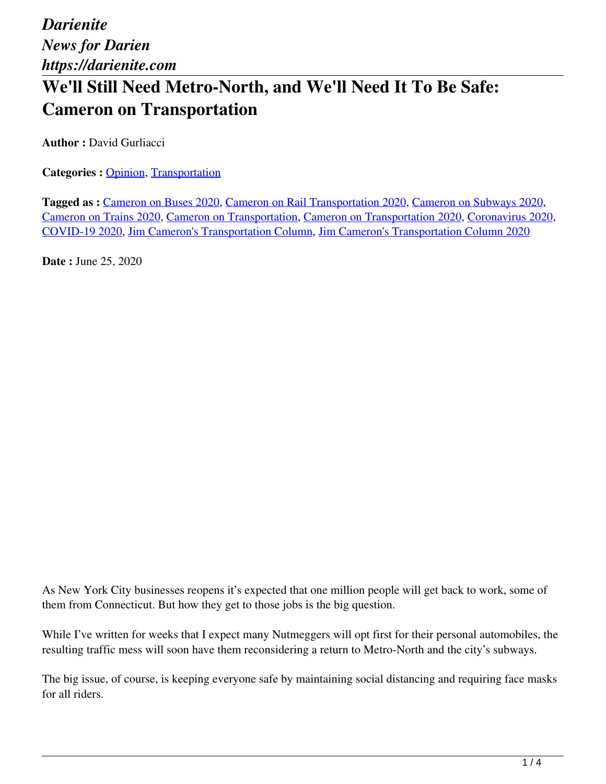*Darienite News for Darien https://darienite.com* **We'll Still Need Metro-North, and We'll Need It To Be Safe: Cameron on Transportation**

**Author :** David Gurliacci

**Categories : [Opinion](https://darienite.com/category/opinion), Transportation** 

**Tagged as :** Cameron on Buses 2020, Cameron on Rail Transportation 2020, Cameron on Subways 2020, Cameron on Trains 2020, Cameron on Transportation, Cameron on Transportation 2020, Coronavirus 2020, COVID-19 2020, Jim Cameron's Transportation Column, Jim Cameron's Transportation Column 2020

**Date :** June 25, 2020

As New York City businesses reopens it's expected that one million people will get back to work, some of them from Connecticut. But how they get to those jobs is the big question.

While I've written for weeks that I expect many Nutmeggers will opt first for their personal automobiles, the resulting traffic mess will soon have them reconsidering a return to Metro-North and the city's subways.

The big issue, of course, is keeping everyone safe by maintaining social distancing and requiring face masks for all riders.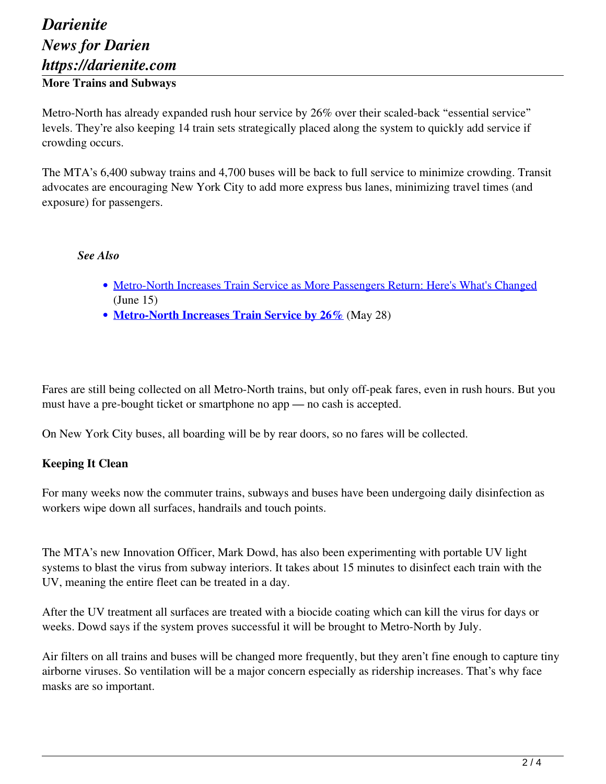# *Darienite News for Darien https://darienite.com* **More Trains and Subways**

Metro-North has already expanded rush hour service by 26% over their scaled-back "essential service" levels. They're also keeping 14 train sets strategically placed along the system to quickly add service if crowding occurs.

The MTA's 6,400 subway trains and 4,700 buses will be back to full service to minimize crowding. Transit advocates are encouraging New York City to add more express bus lanes, minimizing travel times (and exposure) for passengers.

#### *See Also*

- Metro-North Increases Train Service as More Passengers Return: Here's What's Changed (June 15)
- **Metro-North Increases Train Service by 26%** (May 28)

Fares are still being collected on all Metro-North trains, but only off-peak fares, even in rush hours. But you must have a pre-bought ticket or smartphone no app — no cash is accepted.

On New York City buses, all boarding will be by rear doors, so no fares will be collected.

#### **Keeping It Clean**

For many weeks now the commuter trains, subways and buses have been undergoing daily disinfection as workers wipe down all surfaces, handrails and touch points.

The MTA's new Innovation Officer, Mark Dowd, has also been experimenting with portable UV light systems to blast the virus from subway interiors. It takes about 15 minutes to disinfect each train with the UV, meaning the entire fleet can be treated in a day.

After the UV treatment all surfaces are treated with a biocide coating which can kill the virus for days or weeks. Dowd says if the system proves successful it will be brought to Metro-North by July.

Air filters on all trains and buses will be changed more frequently, but they aren't fine enough to capture tiny airborne viruses. So ventilation will be a major concern especially as ridership increases. That's why face masks are so important.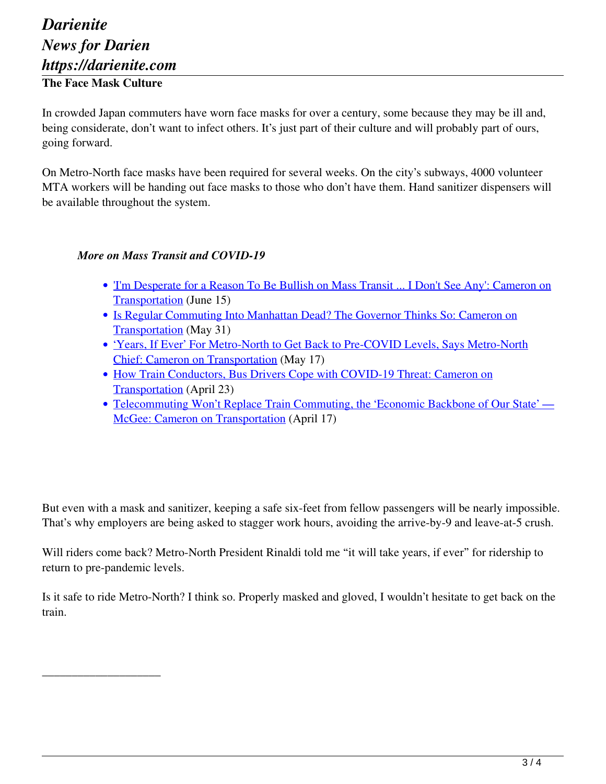## *Darienite News for Darien https://darienite.com* **The Face Mask Culture**

\_\_\_\_\_\_\_\_\_\_\_\_\_\_\_\_\_\_\_\_

In crowded Japan commuters have worn face masks for over a century, some because they may be ill and, being considerate, don't want to infect others. It's just part of their culture and will probably part of ours, going forward.

On Metro-North face masks have been required for several weeks. On the city's subways, 4000 volunteer MTA workers will be handing out face masks to those who don't have them. Hand sanitizer dispensers will be available throughout the system.

### *More on Mass Transit and COVID-19*

- 'I'm Desperate for a Reason To Be Bullish on Mass Transit ... I Don't See Any': Cameron on Transportation (June 15)
- Is Regular Commuting Into Manhattan Dead? The Governor Thinks So: Cameron on Transportation (May 31)
- 'Years, If Ever' For Metro-North to Get Back to Pre-COVID Levels, Says Metro-North Chief: Cameron on Transportation (May 17)
- How Train Conductors, Bus Drivers Cope with COVID-19 Threat: Cameron on Transportation (April 23)
- Telecommuting Won't Replace Train Commuting, the 'Economic Backbone of Our State' McGee: Cameron on Transportation (April 17)

But even with a mask and sanitizer, keeping a safe six-feet from fellow passengers will be nearly impossible. That's why employers are being asked to stagger work hours, avoiding the arrive-by-9 and leave-at-5 crush.

Will riders come back? Metro-North President Rinaldi told me "it will take years, if ever" for ridership to return to pre-pandemic levels.

Is it safe to ride Metro-North? I think so. Properly masked and gloved, I wouldn't hesitate to get back on the train.